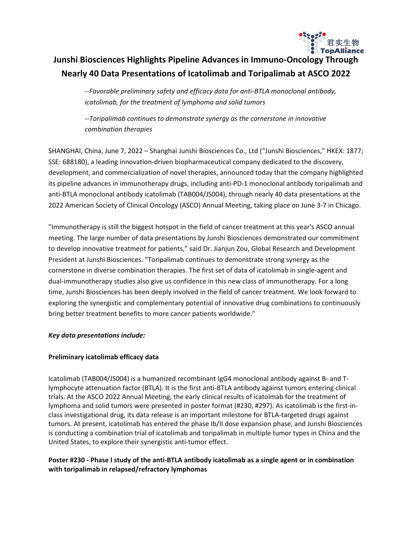

# **Junshi Biosciences Highlights Pipeline Advances in Immuno-Oncology Through Nearly 40 Data Presentations of Icatolimab and Toripalimab at ASCO 2022**

*--Favorable preliminary safety and efficacy data for anti-BTLA monoclonal antibody, icatolimab, for the treatment of lymphoma and solid tumors*

*--Toripalimab continues to demonstrate synergy as the cornerstone in innovative combination therapies*

SHANGHAI, China, June 7, 2022 – Shanghai Junshi Biosciences Co., Ltd ("Junshi Biosciences," HKEX: 1877; SSE: 688180), a leading innovation-driven biopharmaceutical company dedicated to the discovery, development, and commercialization of novel therapies, announced today that the company highlighted its pipeline advances in immunotherapy drugs, including anti-PD-1 monoclonal antibody toripalimab and anti-BTLA monoclonal antibody icatolimab (TAB004/JS004), through nearly 40 data presentations at the 2022 American Society of Clinical Oncology (ASCO) Annual Meeting, taking place on June 3-7 in Chicago.

"Immunotherapy is still the biggest hotspot in the field of cancer treatment at this year's ASCO annual meeting. The large number of data presentations by Junshi Biosciences demonstrated our commitment to develop innovative treatment for patients," said Dr. Jianjun Zou, Global Research and Development President at Junshi Biosciences. "Toripalimab continues to demonstrate strong synergy as the cornerstone in diverse combination therapies. The first set of data of icatolimab in single-agent and dual-immunotherapy studies also give us confidence in this new class of immunotherapy. For a long time, Junshi Biosciences has been deeply involved in the field of cancer treatment. We look forward to exploring the synergistic and complementary potential of innovative drug combinations to continuously bring better treatment benefits to more cancer patients worldwide."

### *Key data presentations include:*

### **Preliminary icatolimab efficacy data**

Icatolimab (TAB004/JS004) is a humanized recombinant IgG4 monoclonal antibody against B- and Tlymphocyte attenuation factor (BTLA). It is the first anti-BTLA antibody against tumors entering clinical trials. At the ASCO 2022 Annual Meeting, the early clinical results of icatolmab for the treatment of lymphoma and solid tumors were presented in poster format (#230, #297). As icatolimab is the first-inclass investigational drug, its data release is an important milestone for BTLA-targeted drugs against tumors. At present, icatolimab has entered the phase Ib/II dose expansion phase, and Junshi Biosciences is conducting a combination trial of icatolimab and toripalimab in multiple tumor types in China and the United States, to explore their synergistic anti-tumor effect.

### Poster #230 - Phase I study of the anti-BTLA antibody icatolimab as a single agent or in combination **with toripalimab in relapsed/refractory lymphomas**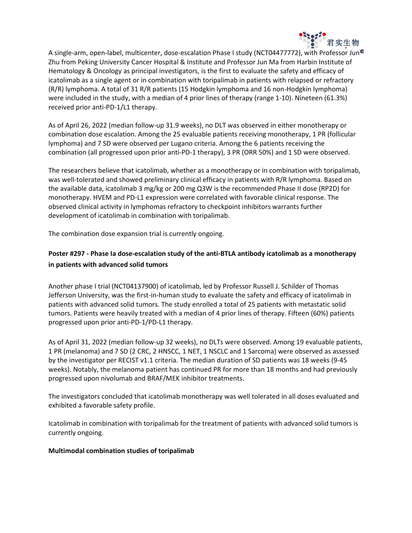

A single-arm, open-label, multicenter, dose-escalation Phase I study (NCT04477772), with Professor Jun<sup>e</sup> Zhu from Peking University Cancer Hospital & Institute and Professor Jun Ma from Harbin Institute of Hematology & Oncology as principal investigators, is the first to evaluate the safety and efficacy of icatolimab as a single agent or in combination with toripalimab in patients with relapsed or refractory (R/R) lymphoma. A total of 31 R/R patients (15 Hodgkin lymphoma and 16 non-Hodgkin lymphoma) were included in the study, with a median of 4 prior lines of therapy (range 1-10). Nineteen (61.3%) received prior anti-PD-1/L1 therapy.

As of April 26, 2022 (median follow-up 31.9 weeks), no DLT was observed in either monotherapy or combination dose escalation. Among the 25 evaluable patients receiving monotherapy, 1 PR (follicular lymphoma) and 7 SD were observed per Lugano criteria. Among the 6 patients receiving the combination (all progressed upon prior anti-PD-1 therapy), 3 PR (ORR 50%) and 1 SD were observed.

The researchers believe that icatolimab, whether as a monotherapy or in combination with toripalimab, was well-tolerated and showed preliminary clinical efficacy in patients with R/R lymphoma. Based on the available data, icatolimab 3 mg/kg or 200 mg Q3W is the recommended Phase II dose (RP2D) for monotherapy. HVEM and PD-L1 expression were correlated with favorable clinical response. The observed clinical activity in lymphomas refractory to checkpoint inhibitors warrants further development of icatolimab in combination with toripalimab.

The combination dose expansion trial is currently ongoing.

## **Poster #297 - Phase Ia dose-escalation study of the anti-BTLA antibody icatolimab as a monotherapy in patients with advanced solid tumors**

Another phase I trial (NCT04137900) of icatolimab, led by Professor Russell J. Schilder of Thomas Jefferson University, was the first-in-human study to evaluate the safety and efficacy of icatolimab in patients with advanced solid tumors. The study enrolled a total of 25 patients with metastatic solid tumors. Patients were heavily treated with a median of 4 prior lines of therapy. Fifteen (60%) patients progressed upon prior anti-PD-1/PD-L1 therapy.

As of April 31, 2022 (median follow-up 32 weeks), no DLTs were observed. Among 19 evaluable patients, 1 PR (melanoma) and 7 SD (2 CRC, 2 HNSCC, 1 NET, 1 NSCLC and 1 Sarcoma) were observed as assessed by the investigator per RECIST v1.1 criteria. The median duration of SD patients was 18 weeks (9-45 weeks). Notably, the melanoma patient has continued PR for more than 18 months and had previously progressed upon nivolumab and BRAF/MEK inhibitor treatments.

The investigators concluded that icatolimab monotherapy was well tolerated in all doses evaluated and exhibited a favorable safety profile.

Icatolimab in combination with toripalimab for the treatment of patients with advanced solid tumors is currently ongoing.

### **Multimodal combination studies of toripalimab**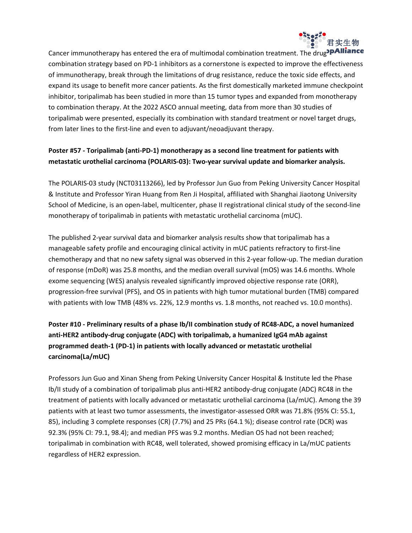

Cancer immunotherapy has entered the era of multimodal combination treatment. The drug<sup>3</sup>PAIIiance combination strategy based on PD-1 inhibitors as a cornerstone is expected to improve the effectiveness of immunotherapy, break through the limitations of drug resistance, reduce the toxic side effects, and expand its usage to benefit more cancer patients. As the first domestically marketed immune checkpoint inhibitor, toripalimab has been studied in more than 15 tumor types and expanded from monotherapy to combination therapy. At the 2022 ASCO annual meeting, data from more than 30 studies of toripalimab were presented, especially its combination with standard treatment or novel target drugs, from later lines to the first-line and even to adjuvant/neoadjuvant therapy.

## **Poster #57 - Toripalimab (anti-PD-1) monotherapy as a second line treatment for patients with metastatic urothelial carcinoma (POLARIS-03): Two-year survival update and biomarker analysis.**

The POLARIS-03 study (NCT03113266), led by Professor Jun Guo from Peking University Cancer Hospital & Institute and Professor Yiran Huang from Ren Ji Hospital, affiliated with Shanghai Jiaotong University School of Medicine, is an open-label, multicenter, phase II registrational clinical study of the second-line monotherapy of toripalimab in patients with metastatic urothelial carcinoma (mUC).

The published 2-year survival data and biomarker analysis results show that toripalimab has a manageable safety profile and encouraging clinical activity in mUC patients refractory to first-line chemotherapy and that no new safety signal was observed in this 2-year follow-up. The median duration of response (mDoR) was 25.8 months, and the median overall survival (mOS) was 14.6 months. Whole exome sequencing (WES) analysis revealed significantly improved objective response rate (ORR), progression-free survival (PFS), and OS in patients with high tumor mutational burden (TMB) compared with patients with low TMB (48% vs. 22%, 12.9 months vs. 1.8 months, not reached vs. 10.0 months).

# **Poster #10 - Preliminary results of a phase Ib/II combination study of RC48-ADC, a novel humanized anti-HER2 antibody-drug conjugate (ADC) with toripalimab, a humanized IgG4 mAb against programmed death-1 (PD-1) in patients with locally advanced or metastatic urothelial carcinoma(La/mUC)**

Professors Jun Guo and Xinan Sheng from Peking University Cancer Hospital & Institute led the Phase Ib/II study of a combination of toripalimab plus anti-HER2 antibody-drug conjugate (ADC) RC48 in the treatment of patients with locally advanced or metastatic urothelial carcinoma (La/mUC). Among the 39 patients with at least two tumor assessments, the investigator-assessed ORR was 71.8% (95% CI: 55.1, 85), including 3 complete responses (CR) (7.7%) and 25 PRs (64.1 %); disease control rate (DCR) was 92.3% (95% CI: 79.1, 98.4); and median PFS was 9.2 months. Median OS had not been reached; toripalimab in combination with RC48, well tolerated, showed promising efficacy in La/mUC patients regardless of HER2 expression.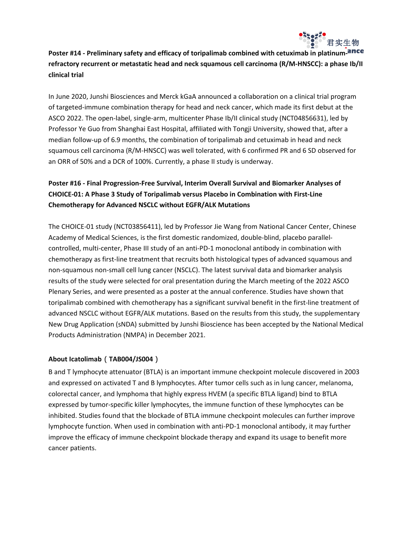

# **Poster #14 - Preliminary safety and efficacy of toripalimab combined with cetuximab in platinumrefractory recurrent or metastatic head and neck squamous cell carcinoma (R/M-HNSCC): a phase Ib/II clinical trial**

In June 2020, Junshi Biosciences and Merck kGaA announced a collaboration on a clinical trial program of targeted-immune combination therapy for head and neck cancer, which made its first debut at the ASCO 2022. The open-label, single-arm, multicenter Phase Ib/II clinical study (NCT04856631), led by Professor Ye Guo from Shanghai East Hospital, affiliated with Tongji University, showed that, after a median follow-up of 6.9 months, the combination of toripalimab and cetuximab in head and neck squamous cell carcinoma (R/M-HNSCC) was well tolerated, with 6 confirmed PR and 6 SD observed for an ORR of 50% and a DCR of 100%. Currently, a phase II study is underway.

# **Poster #16 - Final Progression-Free Survival, Interim Overall Survival and Biomarker Analyses of CHOICE-01: A Phase 3 Study of Toripalimab versus Placebo in Combination with First-Line Chemotherapy for Advanced NSCLC without EGFR/ALK Mutations**

The CHOICE-01 study (NCT03856411), led by Professor Jie Wang from National Cancer Center, Chinese Academy of Medical Sciences, is the first domestic randomized, double-blind, placebo parallelcontrolled, multi-center, Phase III study of an anti-PD-1 monoclonal antibody in combination with chemotherapy as first-line treatment that recruits both histological types of advanced squamous and non-squamous non-small cell lung cancer (NSCLC). The latest survival data and biomarker analysis results of the study were selected for oral presentation during the March meeting of the 2022 ASCO Plenary Series, and were presented as a poster at the annual conference. Studies have shown that toripalimab combined with chemotherapy has a significant survival benefit in the first-line treatment of advanced NSCLC without EGFR/ALK mutations. Based on the results from this study, the supplementary New Drug Application (sNDA) submitted by Junshi Bioscience has been accepted by the National Medical Products Administration (NMPA) in December 2021.

### **About Icatolimab**(**TAB004/JS004**)

B and T lymphocyte attenuator (BTLA) is an important immune checkpoint molecule discovered in 2003 and expressed on activated T and B lymphocytes. After tumor cells such as in lung cancer, melanoma, colorectal cancer, and lymphoma that highly express HVEM (a specific BTLA ligand) bind to BTLA expressed by tumor-specific killer lymphocytes, the immune function of these lymphocytes can be inhibited. Studies found that the blockade of BTLA immune checkpoint molecules can further improve lymphocyte function. When used in combination with anti-PD-1 monoclonal antibody, it may further improve the efficacy of immune checkpoint blockade therapy and expand its usage to benefit more cancer patients.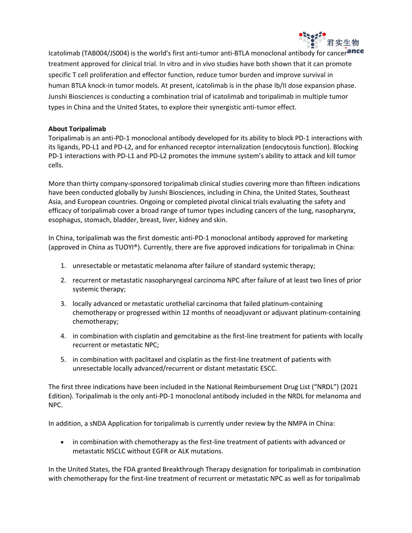

Icatolimab (TAB004/JS004) is the world's first anti-tumor anti-BTLA monoclonal antibody for cancerance treatment approved for clinical trial. In vitro and in vivo studies have both shown that it can promote specific T cell proliferation and effector function, reduce tumor burden and improve survival in human BTLA knock-in tumor models. At present, icatolimab is in the phase Ib/II dose expansion phase. Junshi Biosciences is conducting a combination trial of icatolimab and toripalimab in multiple tumor types in China and the United States, to explore their synergistic anti-tumor effect.

### **About Toripalimab**

Toripalimab is an anti-PD-1 monoclonal antibody developed for its ability to block PD-1 interactions with its ligands, PD-L1 and PD-L2, and for enhanced receptor internalization (endocytosis function). Blocking PD-1 interactions with PD-L1 and PD-L2 promotes the immune system's ability to attack and kill tumor cells.

More than thirty company-sponsored toripalimab clinical studies covering more than fifteen indications have been conducted globally by Junshi Biosciences, including in China, the United States, Southeast Asia, and European countries. Ongoing or completed pivotal clinical trials evaluating the safety and efficacy of toripalimab cover a broad range of tumor types including cancers of the lung, nasopharynx, esophagus, stomach, bladder, breast, liver, kidney and skin.

In China, toripalimab was the first domestic anti-PD-1 monoclonal antibody approved for marketing (approved in China as TUOYI®). Currently, there are five approved indications for toripalimab in China:

- 1. unresectable or metastatic melanoma after failure of standard systemic therapy;
- 2. recurrent or metastatic nasopharyngeal carcinoma NPC after failure of at least two lines of prior systemic therapy;
- 3. locally advanced or metastatic urothelial carcinoma that failed platinum-containing chemotherapy or progressed within 12 months of neoadjuvant or adjuvant platinum-containing chemotherapy;
- 4. in combination with cisplatin and gemcitabine as the first-line treatment for patients with locally recurrent or metastatic NPC;
- 5. in combination with paclitaxel and cisplatin as the first-line treatment of patients with unresectable locally advanced/recurrent or distant metastatic ESCC.

The first three indications have been included in the National Reimbursement Drug List ("NRDL") (2021 Edition). Toripalimab is the only anti-PD-1 monoclonal antibody included in the NRDL for melanoma and NPC.

In addition, a sNDA Application for toripalimab is currently under review by the NMPA in China:

 in combination with chemotherapy as the first-line treatment of patients with advanced or metastatic NSCLC without EGFR or ALK mutations.

In the United States, the FDA granted Breakthrough Therapy designation for toripalimab in combination with chemotherapy for the first-line treatment of recurrent or metastatic NPC as well as for toripalimab